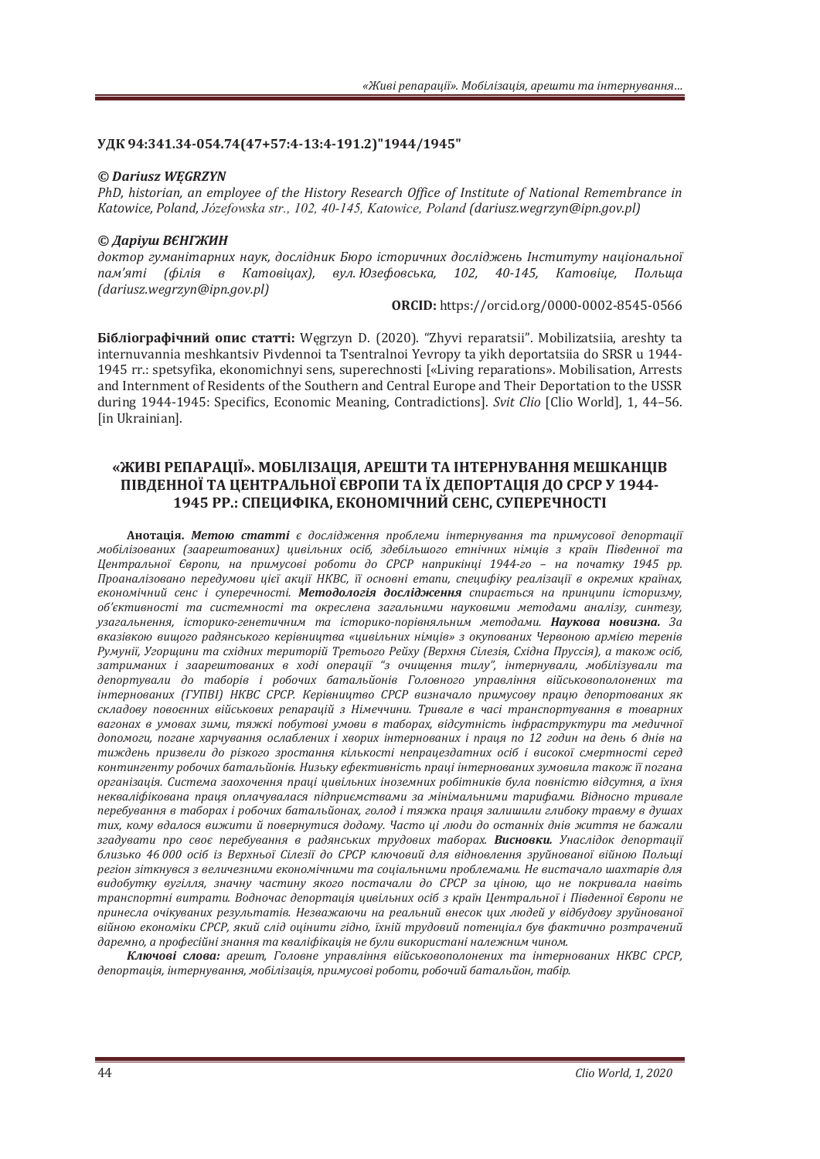## **ʢʓʙ94:341.34-054.74(47+57:4-13:4-191.2)"1944/1945"**

#### $©$  *Dariusz WEGRZYN*

PhD, historian, an employee of the History Research Office of Institute of National Remembrance in *Katowice, Poland, Józefowska str., 102, 40-145, Katowice, Poland (dariusz,wearzyn@ipn.aoy.pl)* 

## $©$  *Даріуш ВЄНГЖИН*

доктор гуманітарних наук, дослідник Бюро історичних досліджень Інституту національної nам'яті (філія в Катовіцах), вул. Юзефовська, 102, 40-145, Катовіце, Польща  $(dariuszwegrzyn@ipn.gov.pl)$ 

**ORCID:** https://orcid.org/0000-0002-8545-0566

**Бібліографічний опис статті:** Węgrzyn D. (2020). "Zhyvi reparatsii". Mobilizatsiia, areshty ta internuvannia meshkantsiv Pivdennoi ta Tsentralnoi Yevropy ta yikh deportatsiia do SRSR u 1944-1945 rr.: spetsyfika, ekonomichnyi sens, superechnosti [«Living reparations». Mobilisation, Arrests and Internment of Residents of the Southern and Central Europe and Their Deportation to the USSR during 1944-1945: Specifics. Economic Meaning. Contradictionsl. Svit Clio [Clio World], 1, 44-56. [in Ukrainian].

# «ЖИВІ РЕПАРАЦІЇ». МОБІЛІЗАЦІЯ, АРЕШТИ ТА ІНТЕРНУВАННЯ МЕШКАНЦІВ ПІВДЕННОЇ ТА ЦЕНТРАЛЬНОЇ ЄВРОПИ ТА ЇХ ДЕПОРТАЦІЯ ДО СРСР У 1944-1945 РР.: СПЕЦИФІКА, ЕКОНОМІЧНИЙ СЕНС, СУПЕРЕЧНОСТІ

Анотація. Метою статті є дослідження проблеми інтернування та примусової депортації мобілізованих (заарештованих) цивільних осіб, здебільшого етнічних німців з країн Південної та  $I$ Иентральної Європи, на примусові роботи до СРСР наприкінці 1944-го – на початку 1945 рр. Проаналізовано передумови цієї акції НКВС, її основні етапи, специфіку реалізації в окремих країнах, економічний сенс *і суперечності. Методологія дослідження спирається на принципи історизму*, *ˑ˄ǯ˦ˍ˕ˋ˅ːˑ˔˕˪ ˕˃ ˔ˋ˔˕ˈˏːˑ˔˕˪ ˕˃ ˑˍ˓ˈ˔ˎˈː˃ ˊ˃ˆ˃ˎ˟ːˋˏˋ ː˃˖ˍˑ˅ˋˏˋ ˏˈ˕ˑˇ˃ˏˋ ˃ː˃ˎ˪ˊ˖ǡ ˔ˋː˕ˈˊ˖ǡ* узагальнення, iсторико-генетичним та iсторико-порівняльним методами. **Наукова новизна.** За *˅ˍ˃ˊ˪˅ˍˑˡ ˅ˋ˜ˑˆˑ ˓˃ˇˢː˔˟ˍˑˆˑ ˍˈ˓˪˅ːˋ˙˕˅˃ «˙ˋ˅˪ˎ˟ːˋ˘ ː˪ˏ˙˪˅ǽ ˊ ˑˍ˖˒ˑ˅˃ːˋ˘ ʦˈ˓˅ˑːˑˡ ˃˓ˏ˪˦ˡ ˕ˈ˓ˈː˪˅* Румунії, Угорщини та східних територій Третього Рейху (Верхня Сілезія, Східна Пруссія), а також осіб, затриманих *і заарештованих в ході операції* "з очищення тилу", інтернували, мобілізували та депортували до таборів і робочих батальйонів Головного управління військовополонених та *iнтернованих (ГУПВ1) НКВС СРСР. Керівництво СРСР визначало примусову працю депортованих як* складову повоєнних військових репарацій з Німеччини. Тривале в часі транспортування в товарних *˅˃ˆˑː˃˘ ˅ ˖ˏˑ˅˃˘ ˊˋˏˋǡ ˕ˢˉˍ˪ ˒ˑ˄˖˕ˑ˅˪ ˖ˏˑ˅ˋ ˅ ˕˃˄ˑ˓˃˘ǡ ˅˪ˇ˔˖˕ː˪˔˕˟ ˪ː˗˓˃˔˕˓˖ˍ˕˖˓ˋ ˕˃ ˏˈˇˋ˚ːˑ˫* допомоги, погане харчування ослаблених *і хворих інтернованих і праия по 12 годин на день 6 днів на* тиждень призвели до різкого зростання кількості непрацездатних осіб і високої смертності серед контингенту робочих батальйонів. Низьку ефективність праці інтернованих зумовила також її погана організація. Система заохочення праці цивільних іноземних робітників була повністю відсутня, а їхня некваліфікована праця оплачувалася підприємствами за мінімальними тарифами. Відносно тривале nepeбування в таборах і робочих батальйонах, голод і тяжка праця залишили глибоку травму в душах тих, кому вдалося вижити й повернутися додому. Часто ці люди до останніх днів життя не бажали *згадувати про своє перебування в радянських трудових таборах. Висновки. Унаслідок депортації* близько 46 000 осіб із Верхньої Сілезії до СРСР ключовий для відновлення зруйнованої війною Польші регіон зіткнувся з величезними економічними та соціальними проблемами. Не вистачало шахтарів для сидобутку вугілля, значну частину якого постачали до СРСР за ціною, що не покривала навіть транспортні витрати. Водночас депортація цивільних осіб з країн Центральної і Південної Європи не принесла очікуваних результатів. Незважаючи на реальний внесок ших людей у відбудову зруйнованої війною економіки СРСР, який слід оцінити гідно, їхній трудовий потенціал був фактично розтрачений даремно, а професійні знання та кваліфікація не були використані належним чином.

Ключові слова: арешт, Головне управління військовополонених та інтернованих НКВС СРСР, депортація, інтернування, мобілізація, примусові роботи, робочий батальйон, табір.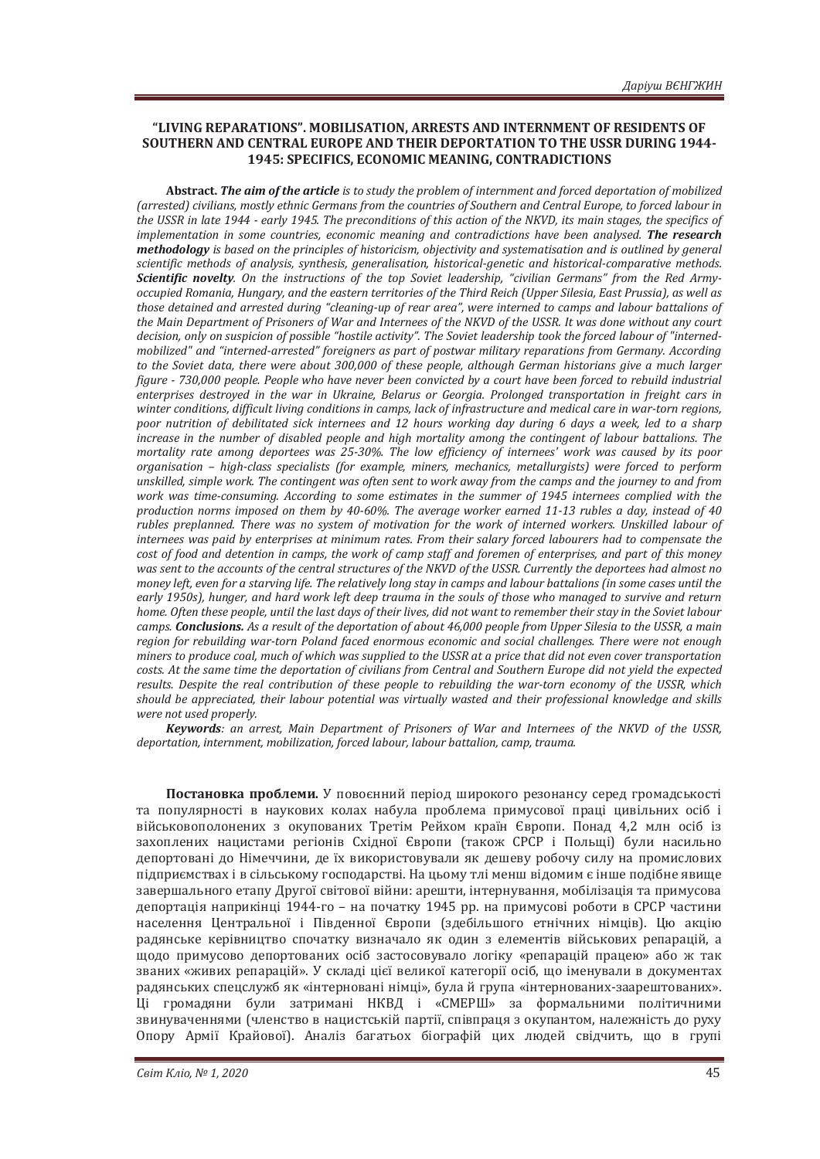## **"LIVING REPARATIONS"ǤǡSTS AND INTERNMENT OF RESIDENTS OF SOUTHERN AND CENTRAL EUROPE AND THEIR DEPORTATION TO THE USSR DURING 1944-** 1945: SPECIFICS, ECONOMIC MEANING, CONTRADICTIONS

**Abstract.** *The aim of the article* (arrested) civilians, mostly ethnic Germans from the countries of Southern and Central Europe, to forced labour in *the USSR in late 1944 - early 1945. The preconditions of this action of the NKVD, its main stages, the specifics of implementation in some countries, economic meaning and contradictions have been analysed. The research methodology* is based on the principles of historicism, objectivity and systematisation and is outlined by general *scientific methods of analysis, synthesis, generalisation, historical-genetic and historical-comparative methods.* Scientific novelty. On the instructions of the top Soviet leadership, "civilian Germans" from the Red Armyoccupied Romania, Hungary, and the eastern territories of the Third Reich (Upper Silesia, East Prussia), as well as those detained and arrested during "cleaning-up of rear area", were interned to camps and labour battalions of the Main Department of Prisoners of War and Internees of the NKVD of the USSR. It was done without any court decision, only on suspicion of possible "hostile activity". The Soviet leadership took the forced labour of "internedmobilized" and "interned-arrested" foreigners as part of postwar military reparations from Germany. According *to the Soviet data, there were about 300,000 of these people, although German historians give a much larger figure - 730,000 people. People who have never been convicted by a court have been forced to rebuild industrial* enterprises destroyed in the war in Ukraine, Belarus or Georgia. Prolonged transportation in freight cars in winter conditions, difficult living conditions in camps, lack of infrastructure and medical care in war-torn regions, *poor nutrition of debilitated sick internees and 12 hours working day during 6 days a week, led to a sharp increase in the number of disabled people and high mortality among the contingent of labour battalions. The mortality rate amona deportees was 25-30%. The low efficiency of internees' work was caused by its poor organisation – high-class specialists (for example, miners, mechanics, metallurgists) were forced to perform* unskilled, simple work. The contingent was often sent to work away from the camps and the journey to and from *work was time-consuming. According to some estimates in the summer of 1945 internees complied with the production norms imposed on them by 40-60%. The average worker earned 11-13 rubles a day, instead of 40 rubles preplanned. There was no system of motivation for the work of interned workers. Unskilled labour of* internees was paid by enterprises at minimum rates. From their salary forced labourers had to compensate the cost of food and detention in camps, the work of camp staff and foremen of enterprises, and part of this money was sent to the accounts of the central structures of the NKVD of the USSR. Currently the deportees had almost no *money left, even for a starving life. The relatively long stay in camps and labour battalions (in some cases until the* early 1950s), hunger, and hard work left deep trauma in the souls of those who managed to survive and return home. Often these people, until the last days of their lives, did not want to remember their stay in the Soviet labour *camps*. *Conclusions. As a result of the deportation of about 46,000 people from Upper Silesia to the USSR, a main* region for rebuilding war-torn Poland faced enormous economic and social challenges. There were not enough miners to produce coal, much of which was supplied to the USSR at a price that did not even cover transportation costs. At the same time the deportation of civilians from Central and Southern Europe did not yield the expected *results. Despite the real contribution of these people to rebuilding the war-torn economy of the USSR, which* should be appreciated, their labour potential was virtually wasted and their professional knowledge and skills were not used properly.

*Keywords*: an arrest, Main Department of Prisoners of War and Internees of the NKVD of the USSR, deportation, internment, mobilization, forced labour, labour battalion, camp, trauma.

Постановка проблеми. У повоєнний період широкого резонансу серед громадськості та популярності в наукових колах набула проблема примусової праці цивільних осіб і військовополонених з окупованих Третім Рейхом країн Європи. Понад 4,2 млн осіб із захоплених нацистами регіонів Східної Європи (також СРСР і Польщі) були насильно депортовані до Німеччини, де їх використовували як дешеву робочу силу на промислових підприємствах і в сільському господарстві. На цьому тлі менш відомим є інше подібне явище завершального етапу Другої світової війни: арешти, інтернування, мобілізація та примусова депортація наприкінці 1944-го – на початку 1945 рр. на примусові роботи в СРСР частини населення Центральної і Південної Європи (здебільшого етнічних німців). Цю акцію радянське керівництво спочатку визначало як один з елементів військових репарацій, а щодо примусово депортованих осіб застосовувало логіку «репарацій працею» або ж так званих «живих репарацій». У складі цієї великої категорії осіб, що іменували в документах радянських спецслужб як «інтерновані німці», була й група «інтернованих-заарештованих». Ці громадяни були затримані НКВД і «СМЕРШ» за формальними політичними звинуваченнями (членство в нацистській партії, співпраця з окупантом, належність до руху Опору Армії Крайової). Аналіз багатьох біографій цих людей свідчить, що в групі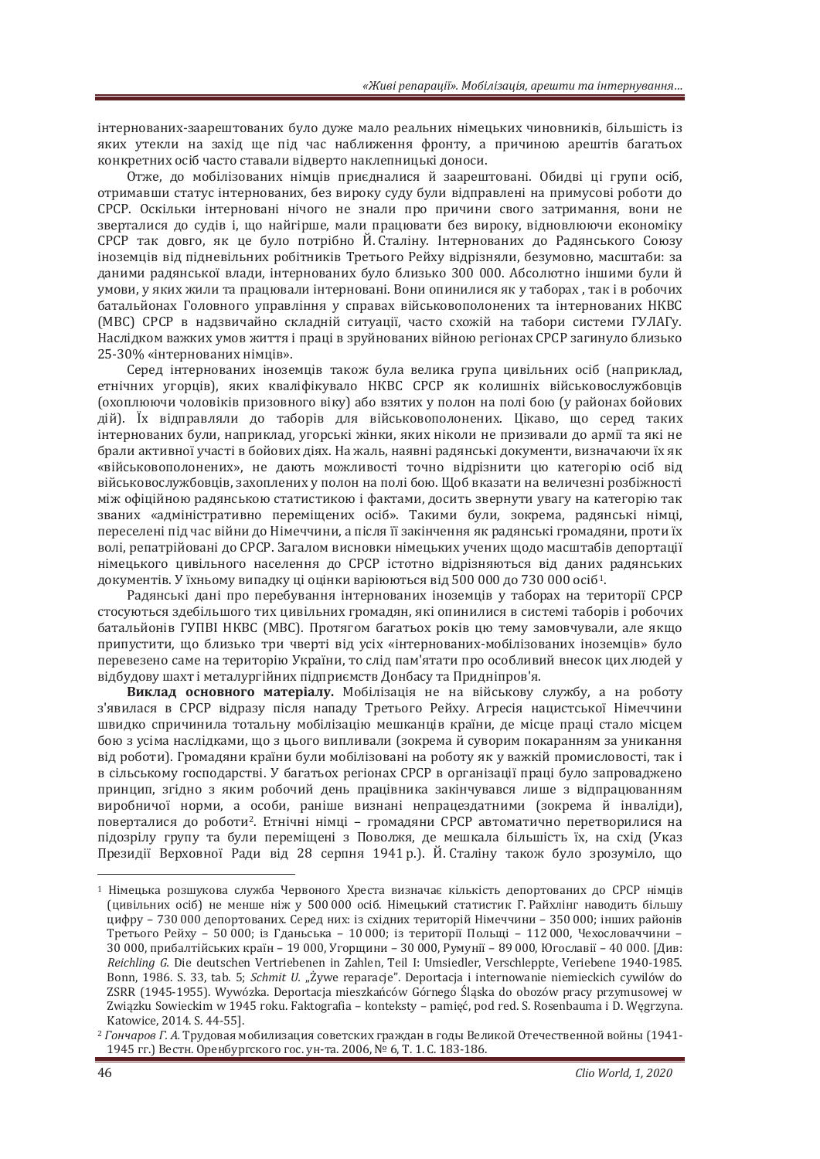інтернованих-заарештованих було дуже мало реальних німецьких чиновників, більшість із яких утекли на захід ще під час наближення фронту, а причиною арештів багатьох конкретних осіб часто ставали відверто наклепницькі доноси.

Отже, до мобілізованих німців приєдналися й заарештовані. Обидві ці групи осіб. отримавши статус інтернованих, без вироку суду були відправлені на примусові роботи до СРСР. Оскільки інтерновані нічого не знали про причини свого затримання, вони не зверталися до судів і, що найгірше, мали працювати без вироку, відновлюючи економіку СРСР так довго, як це було потрібно Й. Сталіну. Інтернованих до Радянського Союзу іноземців від підневільних робітників Третього Рейху відрізняли, безумовно, масштаби: за даними радянської влади, інтернованих було близько 300 000. Абсолютно іншими були й умови, у яких жили та працювали інтерновані. Вони опинилися як у таборах, так і в робочих батальйонах Головного управління у справах військовополонених та інтернованих НКВС (МВС) СРСР в надзвичайно складній ситуації, часто схожій на табори системи ГУЛАГу. Наслідком важких умов життя і праці в зруйнованих війною регіонах СРСР загинуло близько 25-30% «інтернованих німців».

Серед інтернованих іноземців також була велика група цивільних осіб (наприклад, етнічних угорців), яких кваліфікувало НКВС СРСР як колишніх військовослужбовців (охоплюючи чоловіків призовного віку) або взятих у полон на полі бою (у районах бойових дій). Їх відправляли до таборів для військовополонених. Цікаво, що серед таких інтернованих були, наприклад, угорські жінки, яких ніколи не призивали до армії та які не брали активної участі в бойових діях. На жаль, наявні радянські документи, визначаючи їх як «військовополонених», не дають можливості точно відрізнити цю категорію осіб від військовослужбовців, захоплених у полон на полі бою. Шоб вказати на величезні розбіжності між офіційною радянською статистикою і фактами, досить звернути увагу на категорію так званих «адміністративно переміщених осіб». Такими були, зокрема, радянські німці, переселені під час війни до Німеччини, а після її закінчення як радянські громадяни, проти їх волі, репатрійовані до СРСР. Загалом висновки німецьких учених щодо масштабів депортації німецького цивільного населення до СРСР істотно відрізняються від даних радянських документів. У їхньому випадку ці оцінки варіюються від 500 000 до 730 000 осіб<sup>1</sup>.

Радянські дані про перебування інтернованих іноземців у таборах на території СРСР стосуються здебільшого тих цивільних громадян, які опинилися в системі таборів і робочих батальйонів ГУПВІ НКВС (МВС). Протягом багатьох років цю тему замовчували, але якщо припустити, що близько три чверті від усіх «інтернованих-мобілізованих іноземців» було перевезено саме на територію України, то слід пам'ятати про особливий внесок цих людей у відбудову шахт і металургійних підприємств Донбасу та Придніпров'я.

**Виклад основного матеріалу.** Мобілізація не на військову службу, а на роботу з'явилася в СРСР відразу після нападу Третього Рейху. Агресія нацистської Німеччини швидко спричинила тотальну мобілізацію мешканців країни, де місце праці стало місцем бою з усіма наслідками, що з цього випливали (зокрема й суворим покаранням за уникання від роботи). Громадяни країни були мобілізовані на роботу як у важкій промисловості, так і в сільському господарстві. У багатьох регіонах СРСР в організації праці було запроваджено принцип, згідно з яким робочий день працівника закінчувався лише з відпрацюванням виробничої норми, а особи, раніше визнані непрацездатними (зокрема й інваліди), поверталися до роботи<sup>2</sup>. Етнічні німці – громадяни СРСР автоматично перетворилися на підозрілу групу та були переміщені з Поволжя, де мешкала більшість їх, на схід (Указ Президії Верховної Ради від 28 серпня 1941 р.). Й. Сталіну також було зрозуміло, що

<sup>&</sup>lt;sup>1</sup> Німецька розшукова служба Червоного Хреста визначає кількість депортованих до СРСР німців (цивільних осіб) не менше ніж у 500 000 осіб. Німецький статистик Г. Райхлінг наводить більшу цифру – 730 000 депортованих. Серед них: із східних територій Німеччини – 350 000; інших районів Третього Рейху - 50 000; із Гданьська - 10 000; із території Польщі - 112 000, Чехословаччини -30 000, прибалтійських країн – 19 000, Угорщини – 30 000, Румунії – 89 000, Югославії – 40 000. [Див: Reichling G. Die deutschen Vertriebenen in Zahlen, Teil I: Umsiedler, Verschleppte, Veriebene 1940-1985. Bonn, 1986. S. 33, tab. 5; *Schmit U. "Żywe reparacje"*. Deportacja i internowanie niemieckich cywilów do ZSRR (1945-1955). Wywózka. Deportacja mieszkańców Górnego Śląska do obozów pracy przymusowej w Związku Sowieckim w 1945 roku. Faktografia – konteksty – pamięć, pod red. S. Rosenbauma i D. Węgrzyna. Katowice, 2014. S. 44-55].

<sup>&</sup>lt;sup>2</sup> Гончаров Г. А. Трудовая мобилизация советских граждан в годы Великой Отечественной войны (1941-1945 гг.) Вестн. Оренбургского гос. ун-та. 2006, № 6, Т. 1. С. 183-186.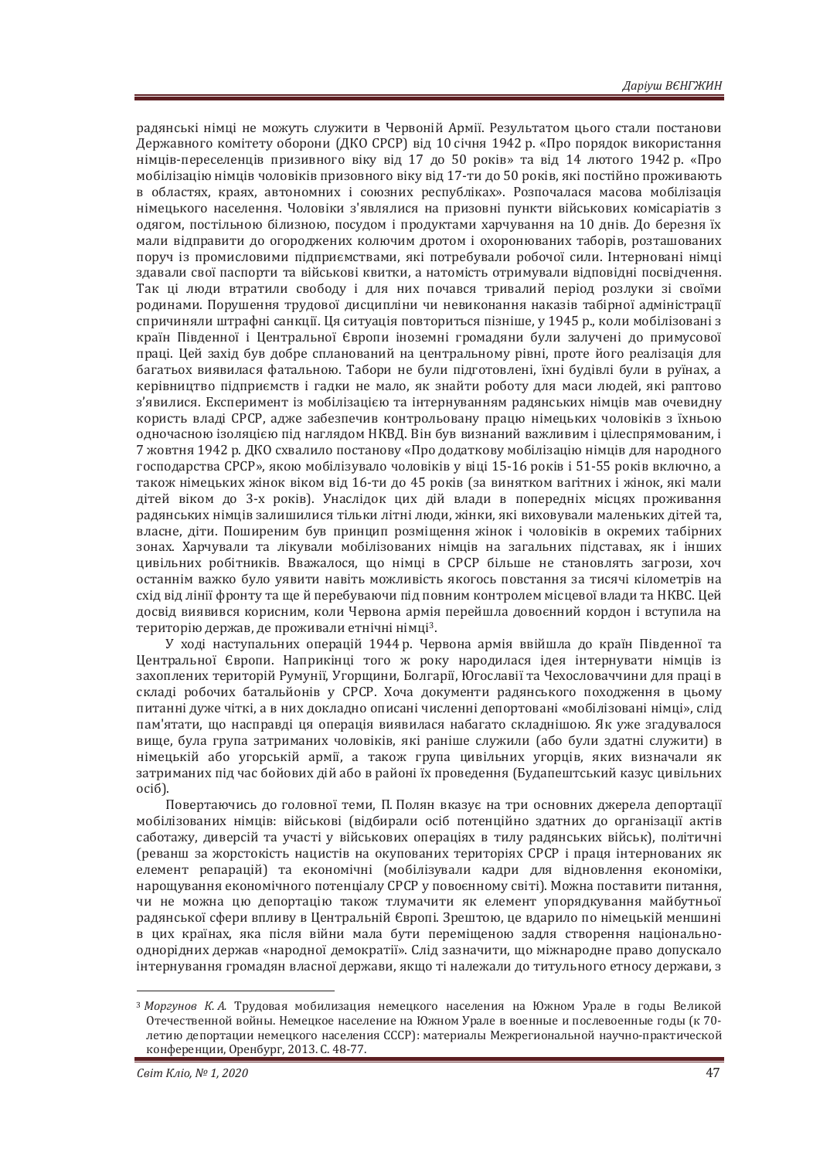ралянські німці не можуть служити в Червоній Армії. Результатом цього стали постанови Державного комітету оборони (ДКО СРСР) від 10 січня 1942 р. «Про порядок використання німців-переселенців призивного віку від 17 до 50 років» та від 14 лютого 1942 р. «Про мобілізацію німців чоловіків призовного віку від 17-ти до 50 років, які постійно проживають в областях, краях, автономних і союзних республіках». Розпочалася масова мобілізація німецького населення. Чоловіки з'являлися на призовні пункти військових комісаріатів з одягом, постільною білизною, посудом і продуктами харчування на 10 днів. До березня їх мали відправити до огороджених колючим дротом і охоронюваних таборів, розташованих поруч із промисловими підприємствами, які потребували робочої сили. Інтерновані німці здавали свої паспорти та військові квитки, а натомість отримували відповідні посвідчення. Так ці люди втратили свободу і для них почався тривалий період розлуки зі своїми родинами. Порушення трудової дисципліни чи невиконання наказів табірної адміністрації спричиняли штрафні санкції. Ця ситуація повториться пізніше, у 1945 р., коли мобілізовані з країн Південної і Центральної Європи іноземні громадяни були залучені до примусової праці. Цей захід був добре спланований на центральному рівні, проте його реалізація для багатьох виявилася фатальною. Табори не були підготовлені, їхні будівлі були в руїнах, а керівництво підприємств і гадки не мало, як знайти роботу для маси людей, які раптово з'явилися. Експеримент із мобілізацією та інтернуванням радянських німців мав очевидну користь влалі СРСР, алже забезпечив контрольовану працю німецьких чоловіків з їхньою одночасною ізоляцією під наглядом НКВД. Він був визнаний важливим і цілеспрямованим, і 7 жовтня 1942 р. ДКО схвалило постанову «Про додаткову мобілізацію німців для народного господарства СРСР», якою мобілізувало чоловіків у віці 15-16 років і 51-55 років включно, а також німецьких жінок віком від 16-ти до 45 років (за винятком вагітних і жінок, які мали дітей віком до 3-х років). Унаслідок цих дій влади в попередніх місцях проживання радянських німців залишилися тільки літні люди, жінки, які виховували маленьких дітей та, власне, діти. Поширеним був принцип розміщення жінок і чоловіків в окремих табірних зонах. Харчували та лікували мобілізованих німців на загальних підставах, як і інших цивільних робітників. Вважалося, що німці в СРСР більше не становлять загрози, хоч останнім важко було уявити навіть можливість якогось повстання за тисячі кілометрів на схід від лінії фронту та ще й перебуваючи під повним контролем місцевої влади та НКВС. Цей досвід виявився корисним, коли Червона армія перейшла довоєнний кордон і вступила на територію держав, де проживали етнічні німці<sup>3</sup>.

У холі наступальних операцій 1944 р. Червона армія ввійшла до країн Південної та Центральної Європи. Наприкінці того ж року народилася ідея інтернувати німців із захоплених територій Румунії. Угоршини, Болгарії, Югославії та Чехословаччини для праці в складі робочих батальйонів у СРСР. Хоча документи радянського походження в цьому питанні дуже чіткі, а в них докладно описані численні депортовані «мобілізовані німці», слід пам'ятати, що насправді ця операція виявилася набагато складнішою. Як уже згадувалося вище, була група затриманих чоловіків, які раніше служили (або були здатні служити) в німецькій або угорській армії, а також група цивільних угорців, яких визначали як затриманих під час бойових дій або в районі їх проведення (Будапештський казус цивільних oció).

Повертаючись до головної теми, П. Полян вказує на три основних джерела депортації мобілізованих німців: військові (відбирали осіб потенційно здатних до організації актів саботажу, диверсій та участі у військових операціях в тилу радянських військ), політичні (реванш за жорстокість нацистів на окупованих територіях СРСР і праця інтернованих як елемент репарацій) та економічні (мобілізували кадри для відновлення економіки, нарощування економічного потенціалу СРСР у повоєнному світі). Можна поставити питання, чи не можна цю депортацію також тлумачити як елемент упорядкування майбутньої радянської сфери впливу в Центральній Європі. Зрештою, це вдарило по німецькій меншині в цих країнах, яка після війни мала бути переміщеною задля створення національнооднорідних держав «народної демократії». Слід зазначити, що міжнародне право допускало інтернування громадян власної держави, якщо ті належали до титульного етносу держави, з

<sup>&</sup>lt;sup>3</sup> Моргунов К.А. Трудовая мобилизация немецкого населения на Южном Урале в годы Великой Отечественной войны. Немецкое население на Южном Урале в военные и послевоенные годы (к 70летию депортации немецкого населения СССР): материалы Межрегиональной научно-практической конференции, Оренбург, 2013. С. 48-77.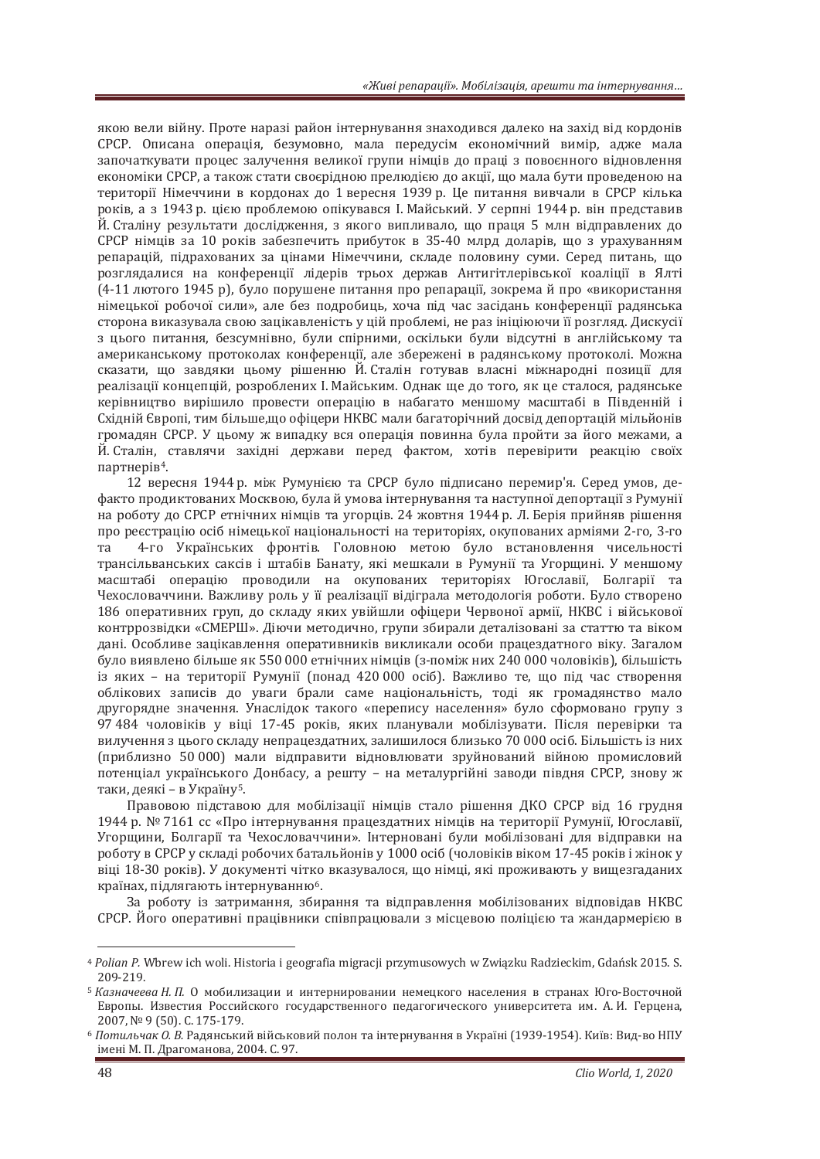якою вели війну. Проте наразі район інтернування знаходився далеко на захід від кордонів СРСР. Описана операція, безумовно, мала передусім економічний вимір, адже мала започаткувати процес залучення великої групи німців до праці з повоєнного відновлення економіки СРСР, а також стати своєрідною прелюдією до акції, що мала бути проведеною на території Німеччини в кордонах до 1 вересня 1939 р. Це питання вивчали в СРСР кілька років, а з 1943 р. цією проблемою опікувався І. Майський. У серпні 1944 р. він представив Й. Сталіну результати дослідження, з якого випливало, що праця 5 млн відправлених до СРСР німців за 10 років забезпечить прибуток в 35-40 млрд доларів, що з урахуванням репарацій, підрахованих за цінами Німеччини, складе половину суми. Серед питань, що розглядалися на конференції лідерів трьох держав Антигітлерівської коаліції в Ялті (4-11 лютого 1945 р), було порушене питання про репарації, зокрема й про «використання німецької робочої сили», але без подробиць, хоча під час засідань конференції радянська сторона виказувала свою зацікавленість у цій проблемі, не раз ініціюючи її розгляд. Дискусії з цього питання, безсумнівно, були спірними, оскільки були відсутні в англійському та американському протоколах конференції, але збережені в радянському протоколі. Можна сказати, що завдяки цьому рішенню Й. Сталін готував власні міжнародні позиції для реалізації концепцій, розроблених І. Майським, Олнак ще ло того, як це сталося, радянське керівництво вирішило провести операцію в набагато меншому масштабі в Південній і Східній Європі, тим більше,що офіцери НКВС мали багаторічний досвід депортацій мільйонів громадян СРСР. У цьому ж випадку вся операція повинна була пройти за його межами, а Й Сталін, ставлячи західні держави перед фактом, хотів перевірити реакцію своїх партнерів<sup>4</sup>.

12 вересня 1944 р. між Румунією та СРСР було підписано перемир'я. Серед умов, дефакто продиктованих Москвою, була й умова інтернування та наступної депортації з Румунії на роботу до СРСР етнічних німців та угорців. 24 жовтня 1944 р. Л. Берія прийняв рішення про реєстрацію осіб німецької національності на територіях, окупованих арміями 2-го, 3-го та 4-го Українських фронтів. Головною метою було встановлення чисельності трансільванських саксів і штабів Банату, які мешкали в Румунії та Угорщині. У меншому масштабі операцію проводили на окупованих територіях Югославії, Болгарії та Чехословаччини. Важливу роль у її реалізації відіграла методологія роботи. Було створено 186 оперативних груп, до складу яких увійшли офіцери Червоної армії, НКВС і військової контррозвідки «СМЕРШ». Діючи методично, групи збирали деталізовані за статтю та віком дані. Особливе зацікавлення оперативників викликали особи працездатного віку. Загалом було виявлено більше як 550 000 етнічних німців (з-поміж них 240 000 чоловіків), більшість із яких - на території Румунії (понад 420 000 осіб). Важливо те, що під час створення облікових записів до уваги брали саме національність, тоді як громадянство мало другорядне значення. Унаслідок такого «перепису населення» було сформовано групу з 97 484 чоловіків у віці 17-45 років, яких планували мобілізувати. Після перевірки та вилучення з цього складу непрацездатних, залишилося близько 70 000 осіб. Більшість із них (приблизно 50000) мали відправити відновлювати зруйнований війною промисловий потенціал українського Донбасу, а решту – на металургійні заводи півдня СРСР, знову ж таки, деякі – в Україну<sup>5</sup>.

Правовою підставою для мобілізації німців стало рішення ДКО СРСР від 16 грудня 1944 р. № 7161 сс «Про інтернування працездатних німців на території Румунії, Югославії, Угорщини, Болгарії та Чехословаччини». Інтерновані були мобілізовані для відправки на роботу в СРСР у складі робочих батальйонів у 1000 осіб (чоловіків віком 17-45 років і жінок у віці 18-30 років). У документі чітко вказувалося, що німці, які проживають у вищезгаданих країнах, підлягають інтернуванню<sup>6</sup>.

За роботу із затримання, збирання та відправлення мобілізованих відповідав НКВС СРСР. Його оперативні працівники співпрацювали з місцевою поліцією та жандармерією в

<sup>&</sup>lt;sup>4</sup> Polian P. Wbrew ich woli. Historia i geografia migracji przymusowych w Związku Radzieckim, Gdańsk 2015. S. 209-219.

<sup>&</sup>lt;sup>5</sup> Казначеева Н. П. О мобилизации и интернировании немецкого населения в странах Юго-Восточной Европы. Известия Российского государственного педагогического университета им. А.И. Герцена, 2007. <sub>№</sub> 9 (50). С. 175-179.

<sup>&</sup>lt;sup>6</sup> Потильчак О. В. Радянський військовий полон та інтернування в Україні (1939-1954). Київ: Вид-во НПУ імені М. П. Драгоманова, 2004. С. 97.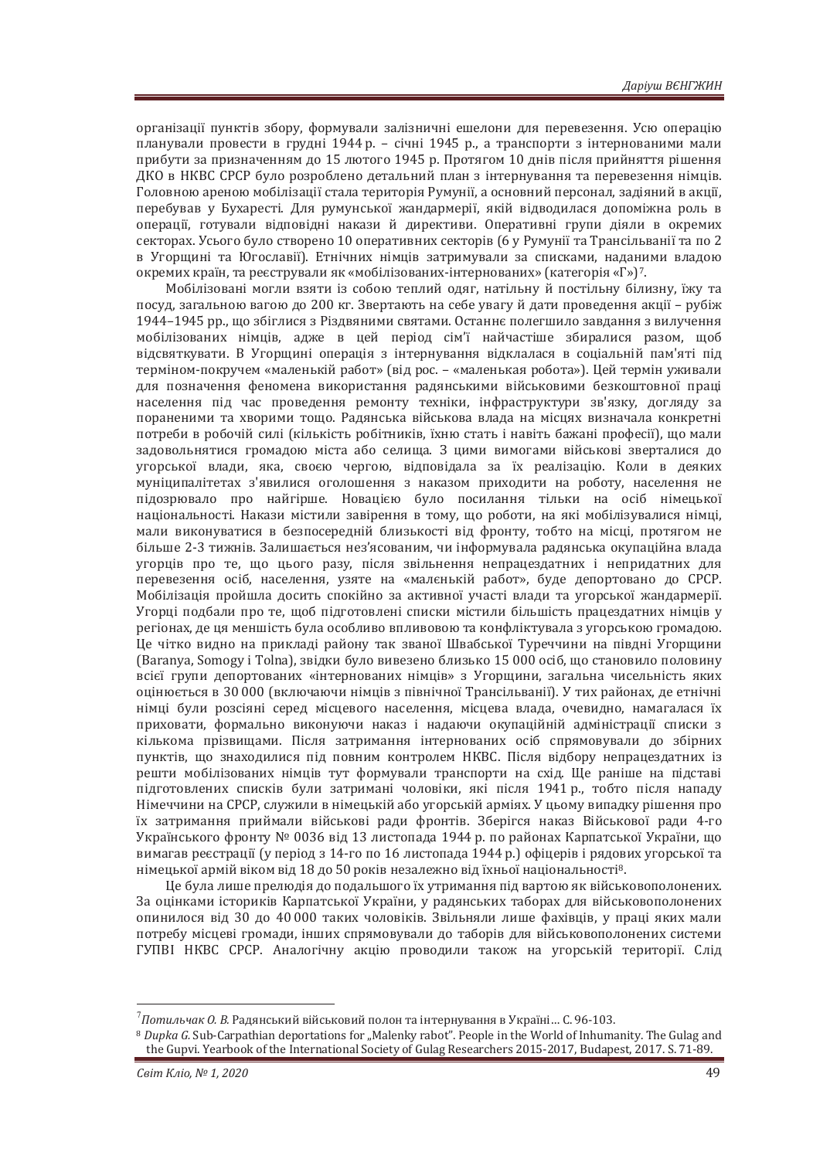організації пунктів збору, формували залізничні ещелони для перевезення. Усю операцію планували провести в грудні 1944 р. - січні 1945 р., а транспорти з інтернованими мали прибути за призначенням до 15 лютого 1945 р. Протягом 10 днів після прийняття рішення ДКО в НКВС СРСР було розроблено детальний план з інтернування та перевезення німців. Головною ареною мобілізації стала територія Румунії, а основний персонал, задіяний в акції, перебував у Бухаресті. Для румунської жандармерії, якій відводилася допоміжна роль в операції, готували відповідні накази й директиви. Оперативні групи діяли в окремих секторах. Усього було створено 10 оперативних секторів (6 у Румунії та Трансільванії та по 2 в Угорщині та Югославії). Етнічних німців затримували за списками, наданими владою окремих країн, та реєстрували як «мобілізованих-інтернованих» (категорія «Г»)<sup>7</sup>.

Мобілізовані могли взяти із собою теплий одяг, натільну й постільну білизну, їжу та посуд, загальною вагою до 200 кг. Звертають на себе увагу й дати проведення акції – рубіж 1944–1945 рр., що збіглися з Різдвяними святами. Останнє полегшило завдання з вилучення мобілізованих німців, адже в цей період сім'ї найчастіше збиралися разом, щоб відсвяткувати. В Угорщині операція з інтернування відклалася в соціальній пам'яті під терміном-покручем «маленькій работ» (від рос. - «маленькая робота»). Цей термін уживали для позначення феномена використання радянськими військовими безкоштовної праці населення під час проведення ремонту техніки, інфраструктури зв'язку, догляду за пораненими та хворими тошо. Ралянська військова влада на місцях визначала конкретні потреби в робочій силі (кількість робітників, їхню стать і навіть бажані професії), що мали задовольнятися громадою міста або селища. З цими вимогами військові зверталися до угорської влади, яка, своєю чергою, відповідала за їх реалізацію. Коли в деяких муніципалітетах з'явилися оголошення з наказом приходити на роботу, населення не підозрювало про найгірше. Новацією було посилання тільки на осіб німецької національності. Накази містили завірення в тому, що роботи, на які мобілізувалися німці, мали виконуватися в безпосередній близькості від фронту, тобто на місці, протягом не більше 2-3 тижнів. Залишається нез'ясованим, чи інформувала радянська окупаційна влада угорців про те, що цього разу, після звільнення непрацездатних і непридатних для перевезення осіб, населення, узяте на «малєнькій работ», буде депортовано до СРСР. Мобілізація пройшла досить спокійно за активної участі влади та угорської жандармерії. Угорці подбали про те, щоб підготовлені списки містили більшість працездатних німців у регіонах, де ця меншість була особливо впливовою та конфліктувала з угорською громадою. Ше чітко видно на прикладі району так званої Швабської Туреччини на півдні Угоршини (Baranya, Somogy і Tolna), звідки було вивезено близько 15 000 осіб, що становило половину всієї групи лепортованих «інтернованих німців» з Угоршини, загальна чисельність яких оцінюється в 30 000 (включаючи німців з північної Трансільванії). У тих районах, де етнічні німці були розсіяні серед місцевого населення, місцева влада, очевидно, намагалася їх приховати, формально виконуючи наказ і надаючи окупаційній адміністрації списки з кількома прізвищами. Після затримання інтернованих осіб спрямовували до збірних пунктів, що знаходилися під повним контролем НКВС. Після відбору непрацездатних із решти мобілізованих німців тут формували транспорти на схід. Ще раніше на підставі підготовлених списків були затримані чоловіки, які після 1941 р., тобто після нападу Німеччини на СРСР, служили в німецькій або угорській арміях. У цьому випадку рішення про їх затримання приймали військові ради фронтів. Зберігся наказ Військової ради 4-го Українського фронту № 0036 від 13 листопада 1944 р. по районах Карпатської України, що вимагав реєстрації (у період з 14-го по 16 листопада 1944 р.) офіцерів і рядових угорської та німецької армій віком від 18 до 50 років незалежно від їхньої національності<sup>8</sup>.

Це була лише прелюдія до подальшого їх утримання під вартою як військовополонених. За оцінками істориків Карпатської України, у радянських таборах для військовополонених опинилося від 30 до 40 000 таких чоловіків. Звільняли лише фахівців, у праці яких мали потребу місцеві громади, інших спрямовували до таборів для військовополонених системи ГУПВІ НКВС СРСР. Аналогічну акцію проводили також на угорській території. Слід

<sup>&</sup>lt;sup>7</sup> Потильчак О. В. Радянський військовий полон та інтернування в Україні… С. 96-103.

<sup>&</sup>lt;sup>8</sup> Dupka G. Sub-Carpathian deportations for "Malenky rabot". People in the World of Inhumanity. The Gulag and the Gupvi. Yearbook of the International Society of Gulag Researchers 2015-2017, Budapest, 2017. S. 71-89.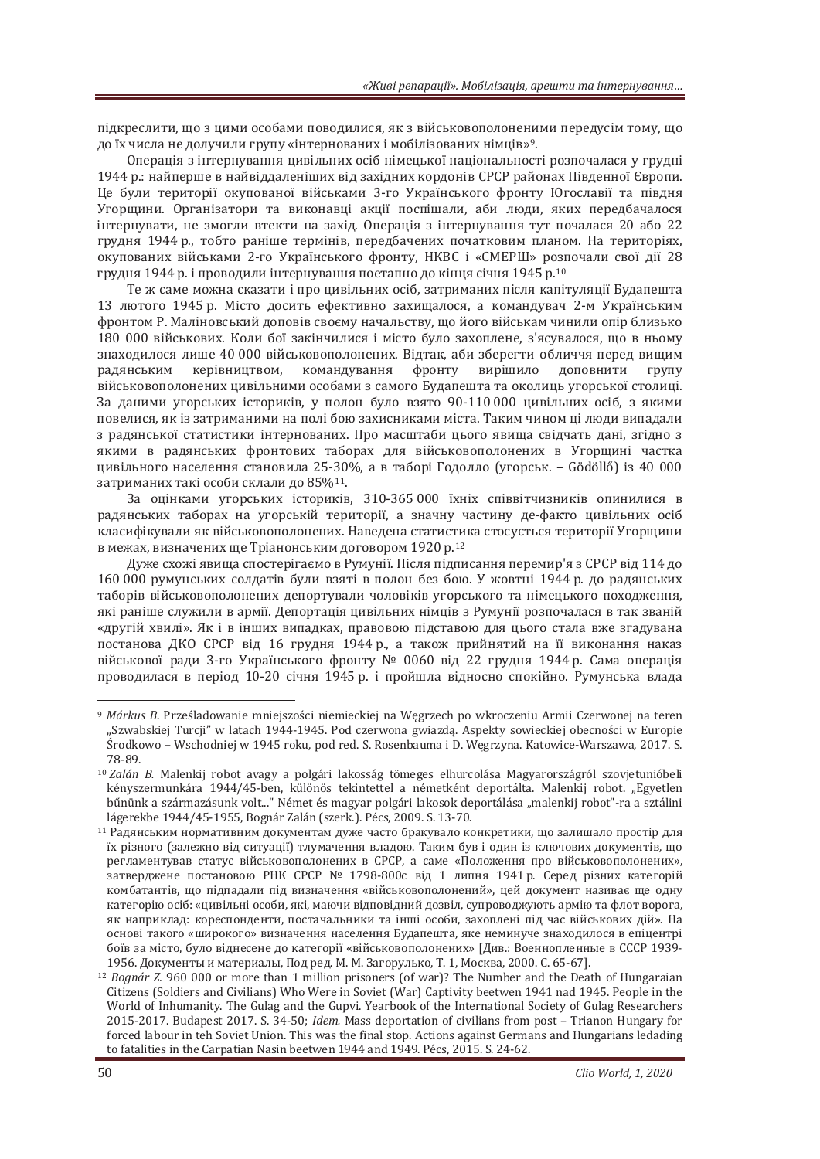підкреслити, що з цими особами поводилися, як з військовополоненими передусім тому, що до їх числа не долучили групу «інтернованих і мобілізованих німців»<sup>9</sup>.

Операція з інтернування цивільних осіб німецької національності розпочалася у грудні 1944 р.: найперше в найвіддаленіших від західних кордонів СРСР районах Південної Європи. Це були території окупованої військами 3-го Українського фронту Югославії та півдня Угорщини, Організатори та виконавці акції поспішали, аби люди, яких передбачалося iнтернувати, не змогли втекти на захiд. Операцiя з iнтернування тут почалася 20 або 22 грудня 1944 р., тобто раніше термінів, передбачених початковим планом. На територіях, окупованих військами 2-го Українського фронту, НКВС і «СМЕРШ» розпочали свої дії 28 грудня 1944 р. і проводили інтернування поетапно до кінця січня 1945 р.<sup>10</sup>

Те ж саме можна сказати і про цивільних осіб, затриманих після капітуляції Будапешта 13 лютого 1945 р. Місто досить ефективно захишалося, а командувач 2-м Українським фронтом Р. Маліновський доповів своєму начальству, що його військам чинили опір близько 180 000 військових. Коли бої закінчилися і місто було захоплене, з'ясувалося, що в ньому знаходилося лише 40 000 військовополонених. Відтак, аби зберегти обличчя перед вищим радянським керівництвом, командування фронту вирішило доповнити групу військовополонених цивільними особами з самого Булапешта та околиць угорської столиці. За даними угорських істориків, у полон було взято 90-110000 цивільних осіб, з якими повелися, як із затриманими на полі бою захисниками міста. Таким чином ці люди випадали з радянської статистики інтернованих. Про масштаби цього явища свідчать дані, згідно з якими в радянських фронтових таборах для військовополонених в Угорщині частка цивільного населення становила 25-30%, а в таборі Годолло (угорськ. – Gödöllő) із 40 000 затриманих такі особи склали до 85%<sup>11</sup>.

За оцінками угорських істориків, 310-365 000 їхніх співвітчизників опинилися в радянських таборах на угорській території, а значну частину де-факто цивільних осіб класифікували як військовополонених. Наведена статистика стосується території Угорщини в межах, визначених ще Тріанонським договором 1920 р.<sup>12</sup>

Дуже схожі явища спостерігаємо в Румунії. Після підписання перемир'я з СРСР від 114 до 160 000 румунських солдатів були взяті в полон без бою. У жовтні 1944 р. до радянських таборів військовополонених депортували чоловіків угорського та німецького походження, які раніше служили в армії. Депортація цивільних німців з Румунії розпочалася в так званій «другій хвилі». Як і в інших випадках, правовою підставою для цього стала вже згадувана постанова ДКО СРСР від 16 грудня 1944 р., а також прийнятий на її виконання наказ військової ради 3-го Українського фронту № 0060 від 22 грудня 1944 р. Сама операція проводилася в період 10-20 січня 1945 р. і пройшла відносно спокійно. Румунська влада

<sup>9</sup> Márkus B. Prześladowanie mniejszości niemieckiej na Węgrzech po wkroczeniu Armii Czerwonej na teren "Szwabskiej Turcji" w latach 1944-1945. Pod czerwona gwiazdą. Aspekty sowieckiej obecności w Europie Środkowo – Wschodniej w 1945 roku, pod red. S. Rosenbauma i D. Węgrzyna. Katowice-Warszawa, 2017. S. 78-89

<sup>&</sup>lt;sup>10</sup> Zalán B. Malenkij robot avagy a polgári lakosság tömeges elhurcolása Magyarországról szovjetunióbeli kényszermunkára 1944/45-ben, különös tekintettel a németként deportálta. Malenkij robot. "Egyetlen bűnünk a származásunk volt..." Német és magyar polgári lakosok deportálása "malenkij robot"-ra a sztálini lágerekbe 1944/45-1955, Bognár Zalán (szerk.). Pécs, 2009. S. 13-70.

 $11$  Радянським нормативним документам дуже часто бракувало конкретики, що залишало простір для їх різного (залежно від ситуації) тлумачення владою. Таким був і один із ключових документів, що регламентував статус військовополонених в СРСР, а саме «Положення про військовополонених», затверджене постановою РНК СРСР № 1798-800с від 1 липня 1941 р. Серед різних категорій комбатантів, що підпадали під визначення «військовополонений», цей документ називає ще одну категорію осіб: «цивільні особи, які, маючи відповідний дозвіл, супроводжують армію та флот ворога, як наприклад: кореспонденти, постачальники та інші особи, захоплені під час військових дій». На основі такого «широкого» визначення населення Будапешта, яке неминуче знаходилося в епіцентрі боїв за місто, було віднесене до категорії «військовополонених» [Див.: Военнопленные в СССР 1939-1956. Документы и материалы, Под ред. М. М. Загорулько, Т. 1, Москва, 2000. С. 65-67].

<sup>12</sup> Bognár Z. 960 000 or more than 1 million prisoners (of war)? The Number and the Death of Hungaraian Citizens (Soldiers and Civilians) Who Were in Soviet (War) Captivity beetwen 1941 nad 1945. People in the World of Inhumanity. The Gulag and the Gupvi. Yearbook of the International Society of Gulag Researchers 2015-2017. Budapest 2017. S. 34-50; *Idem.* Mass deportation of civilians from post - Trianon Hungary for forced labour in teh Soviet Union. This was the final stop. Actions against Germans and Hungarians ledading to fatalities in the Carpatian Nasin beetwen 1944 and 1949. Pécs, 2015. S. 24-62.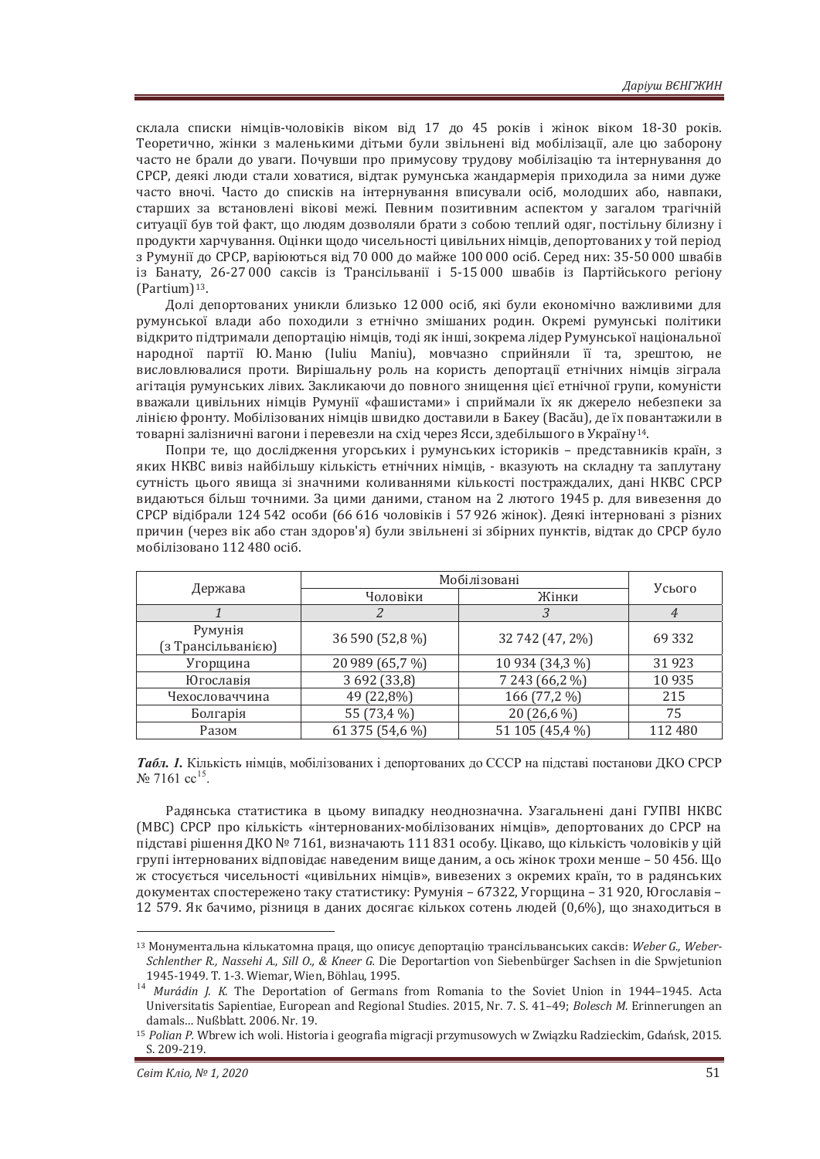склала списки німців-чоловіків віком від 17 до 45 років і жінок віком 18-30 років. Теоретично, жінки з маленькими дітьми були звільнені від мобілізації, але цю заборону часто не брали до уваги. Почувши про примусову трудову мобілізацію та інтернування до СРСР, деякі люди стали ховатися, відтак румунська жандармерія приходила за ними дуже часто вночі. Часто до списків на інтернування вписували осіб, молодших або, навпаки, старших за встановлені вікові межі. Певним позитивним аспектом у загалом трагічній ситуації був той факт, що людям дозволяли брати з собою теплий одяг, постільну білизну і продукти харчування. Оцінки щодо чисельності цивільних німців, депортованих у той період з Румунії до СРСР, варіюються від 70 000 до майже 100 000 осіб. Серед них: 35-50 000 швабів із Банату, 26-27 000 саксів із Трансільванії і 5-15 000 швабів із Партійського регіону (Partium)<sup>13</sup>.

Долі депортованих уникли близько 12 000 осіб, які були економічно важливими для румунської влади або походили з етнічно змішаних родин. Окремі румунські політики відкрито підтримали депортацію німців, тоді як інші, зокрема лідер Румунської національної народної партії Ю. Маню (Iuliu Maniu), мовчазно сприйняли її та, зрештою, не висловлювалися проти. Вирішальну роль на користь депортації етнічних німців зіграла агітація румунських лівих. Закликаючи до повного знищення цієї етнічної групи, комуністи вважали цивільних німців Румунії «фашистами» і сприймали їх як джерело небезпеки за лінією фронту. Мобілізованих німців швидко доставили в Бакеу (Васа́ц), де їх повантажили в товарні залізничні вагони і перевезли на схід через Ясси, здебільшого в Україну<sup>14</sup>.

Попри те, що дослідження угорських і румунських істориків - представників країн, з яких НКВС вивіз найбільшу кількість етнічних німців, - вказують на складну та заплутану сутність цього явища зі значними коливаннями кількості постраждалих, дані НКВС СРСР видаються більш точними. За цими даними, станом на 2 лютого 1945 р. для вивезення до СРСР відібрали 124 542 особи (66 616 чоловіків і 57 926 жінок). Деякі інтерновані з різних причин (через вік або стан здоров'я) були звільнені зі збірних пунктів, відтак до СРСР було мобілізовано 112 480 осіб.

| Держава            | Мобілізовані    |                 |         |
|--------------------|-----------------|-----------------|---------|
|                    | Чоловіки        | Жінки           | Усього  |
|                    |                 |                 | 4       |
| Румунія            | 36 590 (52,8 %) | 32 742 (47, 2%) | 69 3 32 |
| (з Трансільванією) |                 |                 |         |
| Угорщина           | 20 989 (65,7 %) | 10 934 (34,3 %) | 31923   |
| Югославія          | 3 692 (33,8)    | 7 243 (66,2 %)  | 10 9 35 |
| Чехословаччина     | 49 (22,8%)      | 166 (77,2 %)    | 215     |
| Болгарія           | 55 (73,4 %)     | 20 (26,6 %)     | 75      |
| Разом              | 61 375 (54,6 %) | 51 105 (45,4 %) | 112 480 |

*Tабл. 1.* Кількість німців, мобілізованих і депортованих до СССР на підставі постанови ДКО СРСР  $\mathcal{N}$ <sup>2</sup> 7161 cc<sup>15</sup>.

Радянська статистика в цьому випадку неоднозначна. Узагальнені дані ГУПВІ НКВС (MBC) СРСР про кількість «інтернованих-мобілізованих німців», депортованих до СРСР на підставі рішення ДКО № 7161, визначають 111 831 особу. Цікаво, що кількість чоловіків у цій групі інтернованих відповідає наведеним вище даним, а ось жінок трохи менше - 50 456. Що ж стосується чисельності «цивільних німців», вивезених з окремих країн, то в радянських документах спостережено таку статистику: Румунія – 67322, Угорщина – 31 920, Югославія – 12 579. Як бачимо, різниця в даних досягає кількох сотень людей  $(0.6\%)$ , що знаходиться в

<sup>&</sup>lt;sup>13</sup> Монументальна кількатомна праця, що описує депортацію трансільванських саксів: Weber G., Weber-*Schlenther R., Nassehi A., Sill O., & Kneer G. Die Deportartion von Siebenbürger Sachsen in die Spwjetunion* 

<sup>1945-1949.</sup> T. 1-3. Wiemar, Wien, Böhlau, 1995.<br><sup>14</sup> *Murádin J. K.* The Deportation of Germans from Romania to the Soviet Union in 1944–1945. Acta Universitatis Sapientiae, European and Regional Studies. 2015, Nr. 7. S. 41–49; *Bolesch M.* Erinnerungen an damals... Nußblatt, 2006. Nr. 19.

<sup>&</sup>lt;sup>15</sup> Polian P. Wbrew ich woli. Historia i geografia migracji przymusowych w Związku Radzieckim, Gdańsk, 2015. S. 209-219.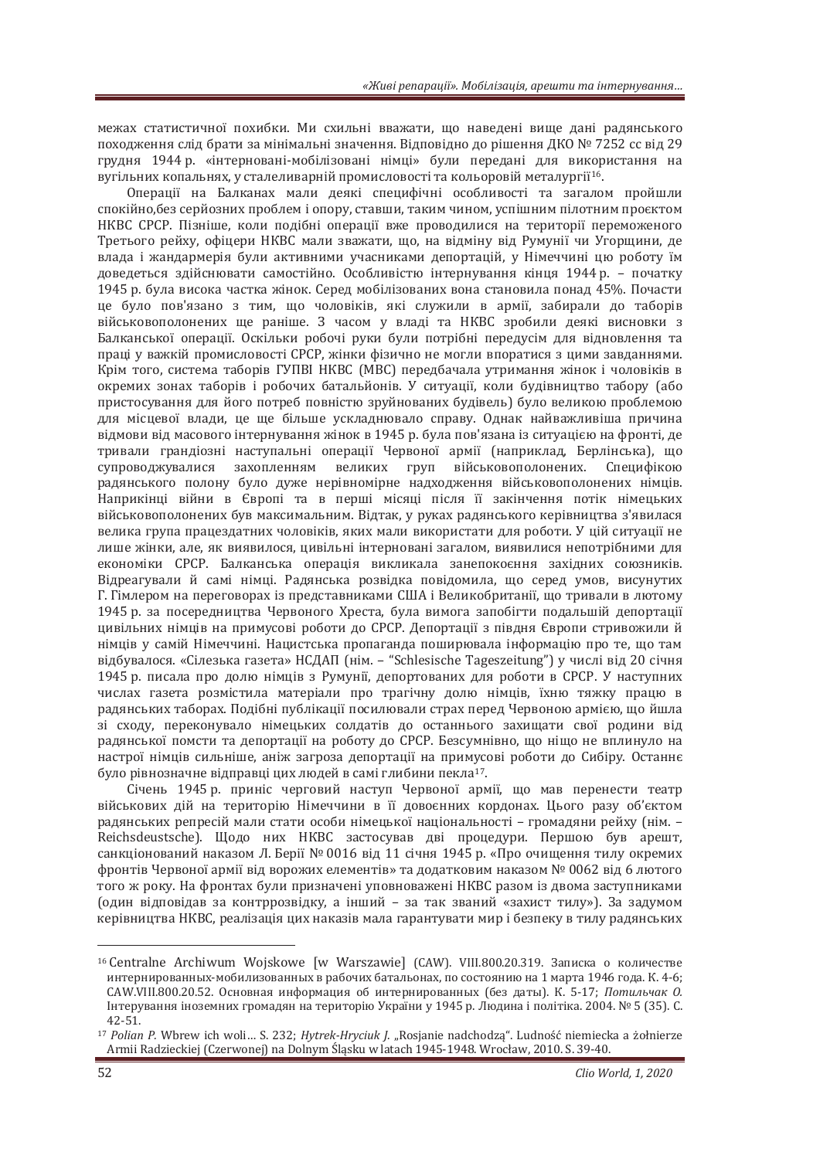межах статистичної похибки. Ми схильні вважати, що наведені вище дані радянського походження слід брати за мінімальні значення. Відповідно до рішення ДКО № 7252 сс від 29 грудня 1944 р. «інтерновані-мобілізовані німці» були передані для використання на вугільних копальнях, у сталеливарній промисловості та кольоровій металургії<sup>16</sup>.

Операції на Балканах мали деякі специфічні особливості та загалом пройшли спокійно, без серйозних проблем і опору, ставши, таким чином, успішним пілотним проєктом НКВС СРСР. Пізніше, коли полібні операції вже проволилися на території переможеного Третього рейху, офіцери НКВС мали зважати, що, на відміну від Румунії чи Угорщини, де влада і жандармерія були активними учасниками депортацій, у Німеччині цю роботу їм доведеться здійснювати самостійно. Особливістю інтернування кінця 1944 р. - початку 1945 р. була висока частка жінок. Серед мобілізованих вона становила понад 45%. Почасти не було пов'язано з тим, що чоловіків, які служили в армії, забирали до таборів військовополонених ще раніше. З часом у владі та НКВС зробили деякі висновки з Балканської операції. Оскільки робочі руки були потрібні передусім для відновлення та праці у важкій промисловості СРСР, жінки фізично не могли впоратися з цими завданнями. Крім того, система таборів ГУПВІ НКВС (МВС) передбачала утримання жінок і чоловіків в окремих зонах таборів і робочих батальйонів. У ситуації, коли будівництво табору (або пристосування для його потреб повністю зруйнованих будівель) було великою проблемою для місцевої влади, це ще більше ускладнювало справу. Однак найважливіша причина відмови від масового інтернування жінок в 1945 р. була пов'язана із ситуацією на фронті, де тривали грандіозні наступальні операції Червоної армії (наприклад, Берлінська), що супроводжувалися захопленням великих груп військовополонених. Специфікою радянського полону було дуже нерівномірне надходження військовополонених німців. Наприкінці війни в Європі та в перші місяці після її закінчення потік німецьких військовополонених був максимальним. Відтак, у руках радянського керівництва з'явилася велика група працездатних чоловіків, яких мали використати для роботи. У цій ситуації не лише жінки, але, як виявилося, цивільні інтерновані загалом, виявилися непотрібними для економіки СРСР. Балканська операція викликала занепокоєння західних союзників. Відреагували й самі німці. Радянська розвідка повідомила, що серед умов, висунутих Г. Гімлером на переговорах із представниками США і Великобританії, що тривали в лютому 1945 р. за посередництва Червоного Хреста, була вимога запобігти подальшій депортації цивільних німців на примусові роботи до СРСР. Депортації з півдня Європи стривожили й німців у самій Німеччині. Нацистська пропаганда поширювала інформацію про те, що там відбувалося. «Сілезька газета» НСДАП (нім. – "Schlesische Tageszeitung") у числі від 20 січня 1945 р. писала про долю німців з Румунії, депортованих для роботи в СРСР. У наступних числах газета розмістила матеріали про трагічну долю німців, їхню тяжку працю в радянських таборах. Подібні публікації посилювали страх перед Червоною армією, що йшла зі сходу, переконувало німецьких солдатів до останнього захищати свої родини від радянської помсти та депортації на роботу до СРСР. Безсумнівно, що ніщо не вплинуло на настрої німців сильніше, аніж загроза депортації на примусові роботи до Сибіру. Останнє було рівнозначне вілправці цих люлей в самі глибини пекла<sup>17</sup>.

січень 1945 р. приніс черговий наступ Червоної армії, що мав перенести театр військових дій на територію Німеччини в її довоєнних кордонах. Цього разу об'єктом радянських репресій мали стати особи німецької національності - громадяни рейху (нім. -Reichsdeustsche). Шодо них НКВС застосував дві процедури. Першою був арешт, санкціонований наказом Л. Берії № 0016 віл 11 січня 1945 р. «Про очишення тилу окремих фронтів Червоної армії від ворожих елементів» та додатковим наказом № 0062 від 6 лютого того ж року. На фронтах були призначені уповноважені НКВС разом із двома заступниками (один відповідав за контррозвідку, а інший - за так званий «захист тилу»). За задумом керівництва НКВС, реалізація цих наказів мала гарантувати мир і безпеку в тилу радянських

<sup>16</sup> Centralne Archiwum Wojskowe [w Warszawie] (САW). VIII.800.20.319. Записка о количестве интернированных-мобилизованных в рабочих батальонах, по состоянию на 1 марта 1946 года. К. 4-6; САW.VIII.800.20.52. Основная информация об интернированных (без даты). К. 5-17; *Потильчак О.* Інтерування іноземних громадян на територію України у 1945 р. Людина і політіка. 2004. № 5 (35). С.  $42 - 51$ .

<sup>17</sup> Polian P. Wbrew ich woli... S. 232; Hytrek-Hryciuk J. "Rosjanie nadchodzą". Ludność niemiecka a żołnierze Armii Radzieckiej (Czerwonej) na Dolnym Śląsku w latach 1945-1948. Wrocław, 2010. S. 39-40.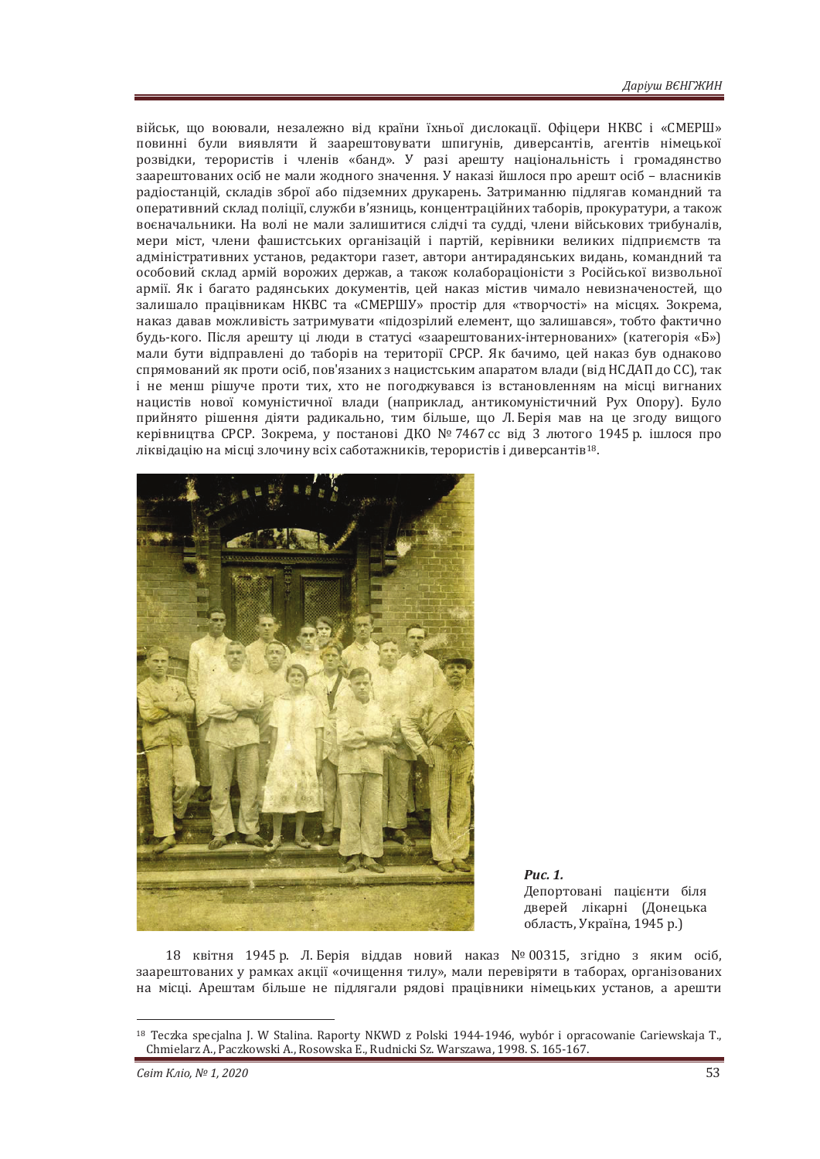військ, що воювали, незалежно від країни їхньої дислокації, Офіцери НКВС і «СМЕРШ» повинні були виявляти й заарештовувати шпигунів, диверсантів, агентів німецької розвідки, терористів і членів «банд». У разі арешту національність і громадянство заарештованих осіб не мали жодного значення. У наказі йшлося про арешт осіб - власників радіостанцій, складів зброї або підземних друкарень. Затриманню підлягав командний та оперативний склал полішії, служби в'язниць, концентраційних таборів, прокуратури, а також воєначальники. На волі не мали залишитися слідчі та судді, члени військових трибуналів, мери міст, члени фашистських організацій і партій, керівники великих підприємств та адміністративних установ, редактори газет, автори антирадянських видань, командний та особовий склад армій ворожих держав, а також колабораціоністи з Російської визвольної армії. Як і багато радянських документів, цей наказ містив чимало невизначеностей, що залишало працівникам НКВС та «СМЕРШУ» простір для «творчості» на місцях. Зокрема, наказ давав можливість затримувати «підозрілий елемент, що залишався», тобто фактично будь-кого. Після арешту ці люди в статусі «заарештованих-інтернованих» (категорія «Б») мали бути відправлені до таборів на території СРСР. Як бачимо, цей наказ був однаково спрямований як проти осіб, пов'язаних з нацистським апаратом влади (від НСДАП до СС), так *і* не менш рішуче проти тих, хто не погоджувався із встановленням на місці вигнаних нацистів нової комуністичної влади (наприклад, антикомуністичний Рух Опору). Було прийнято рішення діяти радикально, тим більше, що Л. Берія мав на це згоду вищого керівництва СРСР. Зокрема, у постанові ДКО № 7467 сс від З лютого 1945 р. ішлося про ліквідацію на місці злочину всіх саботажників, терористів і диверсантів<sup>18</sup>.



*Puc. 1.* 

Депортовані пацієнти біля дверей лікарні (Донецька область, Україна, 1945 р.)

18 квітня 1945 р. Л. Берія віддав новий наказ № 00315, згідно з яким осіб, заарештованих у рамках акції «очищення тилу», мали перевіряти в таборах, організованих на місці. Арештам більше не підлягали рядові працівники німецьких установ, а арешти

<sup>18</sup> Teczka specjalna J. W Stalina. Raporty NKWD z Polski 1944-1946, wybór i opracowanie Cariewskaja T., Chmielarz A., Paczkowski A., Rosowska E., Rudnicki Sz. Warszawa, 1998. S. 165-167.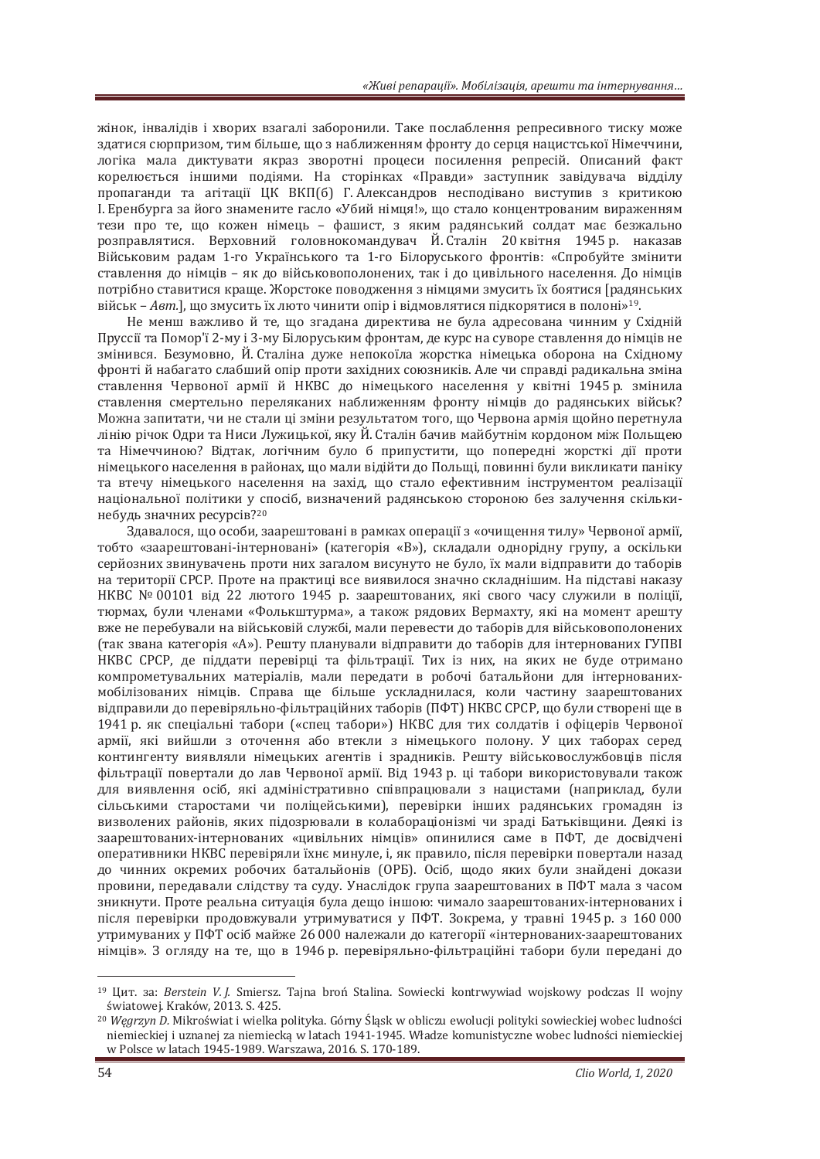жінок, інвалідів і хворих взагалі заборонили. Таке послаблення репресивного тиску може здатися сюрпризом, тим більше, що з наближенням фронту до серця нацистської Німеччини, логіка мала диктувати якраз зворотні процеси посилення репресій. Описаний факт корелюється іншими подіями. На сторінках «Правди» заступник завідувача відділу пропаганди та агітації ЦК ВКП(б) Г. Александров несподівано виступив з критикою I. Еренбурга за його знамените гасло «Убий німця!», що стало концентрованим вираженням тези про те, що кожен німець - фашист, з яким радянський солдат має безжально розправлятися. Верховний головнокомандувач Й. Сталін 20 квітня 1945 р. наказав Військовим радам 1-го Українського та 1-го Білоруського фронтів: «Спробуйте змінити ставлення до німців - як до військовополонених, так і до цивільного населення. До німців потрібно ставитися краще. Жорстоке поводження з німцями змусить їх боятися [радянських військ – *Aвт*.), що змусить їх люто чинити опір і відмовлятися підкорятися в полоні»<sup>19</sup>.

Не менш важливо й те, що згадана директива не була адресована чинним у Східній Пруссії та Помор'ї 2-му і 3-му Білоруським фронтам, де курс на суворе ставлення до німців не змінився. Безумовно, Й. Сталіна дуже непокоїла жорстка німецька оборона на Східному фронті й набагато слабший опір проти західних союзників. Але чи справді радикальна зміна ставлення Червоної армії й НКВС до німецького населення у квітні 1945 р. змінила ставлення смертельно переляканих наближенням фронту німців до радянських військ? Можна запитати, чи не стали ці зміни результатом того, що Червона армія щойно перетнула лінію річок Одри та Ниси Лужицької, яку Й. Сталін бачив майбутнім кордоном між Польщею та Німеччиною? Відтак, логічним було б припустити, що попередні жорсткі дії проти німецького населення в районах, що мали відійти до Польщі, повинні були викликати паніку та втечу німецького населення на захід, що стало ефективним інструментом реалізації національної політики у спосіб, визначений радянською стороною без залучення скількинебудь значних ресурсів?<sup>20</sup>

Здавалося, що особи, заарештовані в рамках операції з «очищення тилу» Червоної армії, тобто «заарештовані-інтерновані» (категорія «В»), складали однорідну групу, а оскільки серйозних звинувачень проти них загалом висунуто не було, їх мали відправити до таборів на території СРСР. Проте на практиці все виявилося значно складнішим. На підставі наказу НКВС № 00101 від 22 лютого 1945 р. заарештованих, які свого часу служили в поліції, тюрмах, були членами «Фолькштурма», а також рядових Вермахту, які на момент арешту вже не перебували на військовій службі, мали перевести до таборів для військовополонених (так звана категорія «А»). Решту планували відправити до таборів для інтернованих ГУПВІ НКВС СРСР, де піддати перевірці та фільтрації. Тих із них, на яких не буде отримано компрометувальних матеріалів, мали передати в робочі батальйони для інтернованихмобілізованих німців. Справа ще більше ускладнилася, коли частину заарештованих відправили до перевіряльно-фільтраційних таборів (ПФТ) НКВС СРСР, що були створені ще в 1941 р. як спеціальні табори («спец табори») НКВС для тих солдатів і офіцерів Червоної армії, які вийшли з оточення або втекли з німецького полону. У цих таборах серед контингенту виявляли німецьких агентів і зрадників. Решту військовослужбовців після фільтрації повертали до лав Червоної армії. Від 1943 р. ці табори використовували також для виявлення осіб, які адміністративно співпрацювали з нацистами (наприклад, були сільськими старостами чи поліцейськими), перевірки інших радянських громадян із визволених районів, яких підозрювали в колабораціонізмі чи зраді Батьківщини. Деякі із заарештованих-інтернованих «цивільних німців» опинилися саме в ПФТ, де досвідчені оперативники НКВС перевіряли їхнє минуле, і, як правило, після перевірки повертали назад до чинних окремих робочих батальйонів (ОРБ). Осіб. шодо яких були знайдені докази провини, передавали слідству та суду. Унаслідок група заарештованих в ПФТ мала з часом зникнути. Проте реальна ситуація була дещо іншою: чимало заарештованих-інтернованих і після перевірки продовжували утримуватися у ПФТ. Зокрема, у травні 1945 р. з 160 000 утримуваних у ПФТ осіб майже 26 000 належали до категорії «інтернованих-заарештованих німців». З огляду на те, що в 1946 р. перевіряльно-фільтраційні табори були передані до

<sup>&</sup>lt;sup>19</sup> Цит. за: Berstein V. *I.* Smiersz. Tajna broń Stalina. Sowiecki kontrwywiad wojskowy podczas II wojny światowej. Kraków, 2013. S. 425.

<sup>&</sup>lt;sup>20</sup> *Węgrzyn D.* Mikroświat i wielka polityka. Górny Śląsk w obliczu ewolucji polityki sowieckiej wobec ludności niemieckiej i uznanej za niemiecka w latach 1941-1945. Władze komunistyczne wobec ludności niemieckiej w Polsce w latach 1945-1989. Warszawa, 2016. S. 170-189.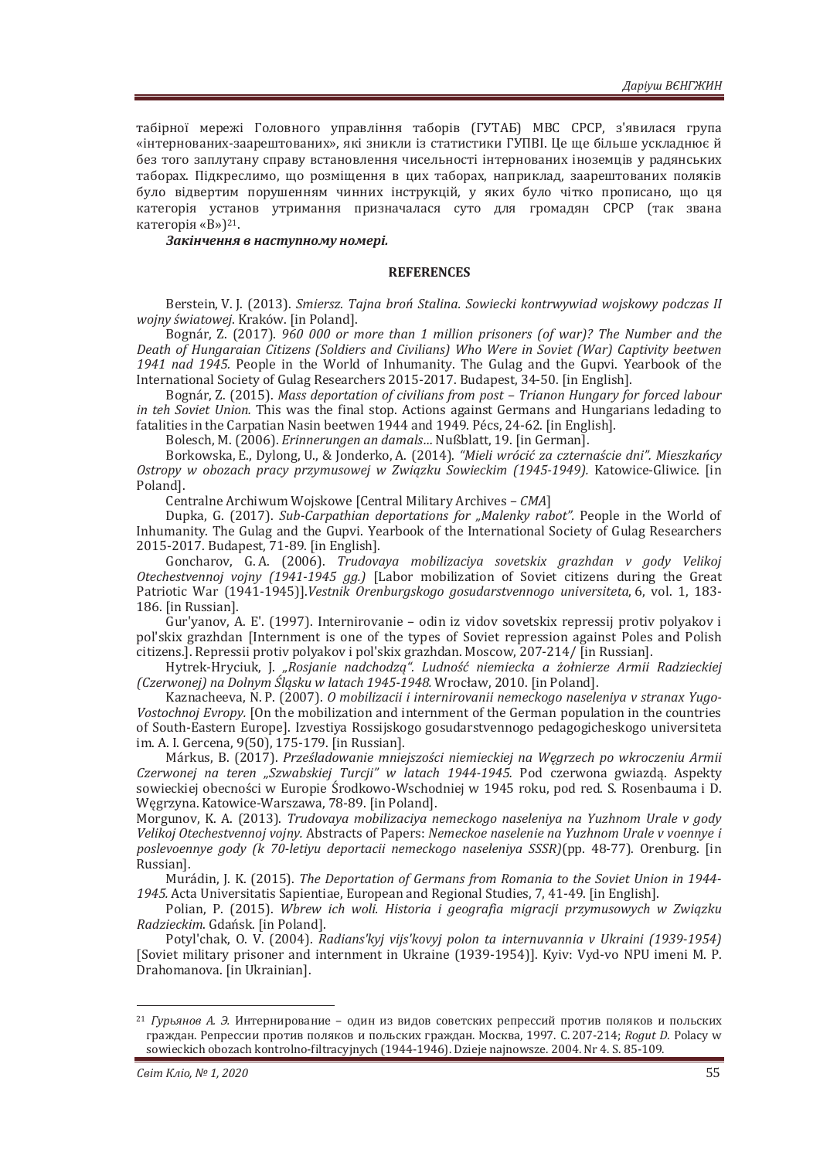табірної мережі Головного управління таборів (ГУТАБ) МВС СРСР, з'явилася група «інтернованих-заарештованих», які зникли із статистики ГУПВІ. Це ще більше ускладнює й без того заплутану справу встановлення чисельності інтернованих іноземців у радянських таборах. Підкреслимо, що розміщення в цих таборах, наприклад, заарештованих поляків було відвертим порушенням чинних інструкцій, у яких було чітко прописано, що ця категорія установ утримання призначалася суто для громадян СРСР (так звана категорія «В»)<sup>21</sup>.

 $3a$ кінчення в наступному номері.

#### **REFERENCES**

Berstein, V. J. (2013). Smiersz. Tajna broń Stalina. Sowiecki kontrwywiad wojskowy podczas II *wojny światowej.* Kraków. [in Poland].

Bognár, Z. (2017). 960 000 or more than 1 million prisoners (of war)? The Number and the Death of Hungaraian Citizens (Soldiers and Civilians) Who Were in Soviet (War) Captivity beetwen 1941 nad 1945. People in the World of Inhumanity. The Gulag and the Gupvi. Yearbook of the International Society of Gulag Researchers 2015-2017. Budapest, 34-50. [in English].

Bognár, Z. (2015). Mass deportation of civilians from post - Trianon Hungary for forced labour *in teh Soviet Union*. This was the final stop. Actions against Germans and Hungarians ledading to fatalities in the Carpatian Nasin beetwen 1944 and 1949. Pécs, 24-62. [in English].

Bolesch, M. (2006). *Erinnerungen an damals...* Nußblatt, 19. [in German].

Borkowska, E., Dylong, U., & Jonderko, A. (2014). "Mieli wrócić za czternaście dni". Mieszkańcy Ostropy w obozach pracy przymusowej w Związku Sowieckim (1945-1949). Katowice-Gliwice. [in Poland].

Centralne Archiwum Wojskowe [Central Military Archives - CMA]

Dupka, G. (2017). Sub-Carpathian deportations for "Malenky rabot". People in the World of Inhumanity. The Gulag and the Gupvi. Yearbook of the International Society of Gulag Researchers 2015-2017. Budapest, 71-89. [in English].

Goncharov, G.A. (2006). Trudovaya mobilizaciya sovetskix grazhdan v gody Velikoj *Otechestvennoj vojny (1941-1945 gg.)* [Labor mobilization of Soviet citizens during the Great Patriotic War (1941-1945)].Vestnik Orenburgskogo gosudarstvennogo universiteta, 6, vol. 1, 183-186. [in Russian].

Gur'yanov, A. E'. (1997). Internirovanie – odin iz vidov sovetskix repressij protiv polyakov i pol'skix grazhdan [Internment is one of the types of Soviet repression against Poles and Polish citizens.]. Repressii protiv polyakov i pol'skix grazhdan. Moscow, 207-214/ [in Russian].

Hytrek-Hryciuk, J. "Rosjanie nadchodzą". Ludność niemiecka a żołnierze Armii Radzieckiej *(Czerwonej) na Dolnym Śląsku w latach 1945-1948.* Wrocław, 2010. [in Poland].

Kaznacheeva, N. P. (2007). O mobilizacii i internirovanii nemeckogo naseleniya v stranax Yugo-Vostochnoj Evropy. [On the mobilization and internment of the German population in the countries of South-Eastern Europe]. Izvestiya Rossijskogo gosudarstvennogo pedagogicheskogo universiteta im. A. I. Gercena, 9(50), 175-179. [in Russian].

Márkus, B. (2017). Prześladowanie mniejszości niemieckiej na Węgrzech po wkroczeniu Armii *Czerwonej na teren "Szwabskiej Turcji" w latach 1944-1945. Pod czerwona gwiazdą. Aspekty* sowieckiej obecności w Europie Środkowo-Wschodniej w 1945 roku, pod red. S. Rosenbauma i D. Węgrzyna. Katowice-Warszawa, 78-89. [in Poland].

Morgunov, K. A. (2013). Trudovaya mobilizaciya nemeckogo naseleniya na Yuzhnom Urale v gody Velikoj Otechestvennoj vojny. Abstracts of Papers: Nemeckoe naselenie na Yuzhnom Urale v voennye i *poslevoennye gody (k 70-letiyu deportacii nemeckogo naseleniya SSSR)(pp. 48-77). Orenburg. [in* Russian].

Murádin, J. K. (2015). The Deportation of Germans from Romania to the Soviet Union in 1944-1945. Acta Universitatis Sapientiae, European and Regional Studies, 7, 41-49. [in English].

Polian, P. (2015). Wbrew ich woli. Historia i geografia migracji przymusowych w Związku Radzieckim. Gdańsk. [in Poland].

Potyl'chak, O. V. (2004). Radians'kyj vijs'kovyj polon ta internuvannia v Ukraini (1939-1954) [Soviet military prisoner and internment in Ukraine (1939-1954)]. Kyiv: Vyd-vo NPU imeni M. P. Drahomanova. [in Ukrainian].

<sup>&</sup>lt;sup>21</sup> *Гурьянов А. Э.* Интернирование – один из видов советских репрессий против поляков и польских граждан. Репрессии против поляков и польских граждан. Москва, 1997. С. 207-214; Roqut D. Polacy w sowieckich obozach kontrolno-filtracyjnych (1944-1946). Dzieje najnowsze. 2004. Nr 4. S. 85-109.